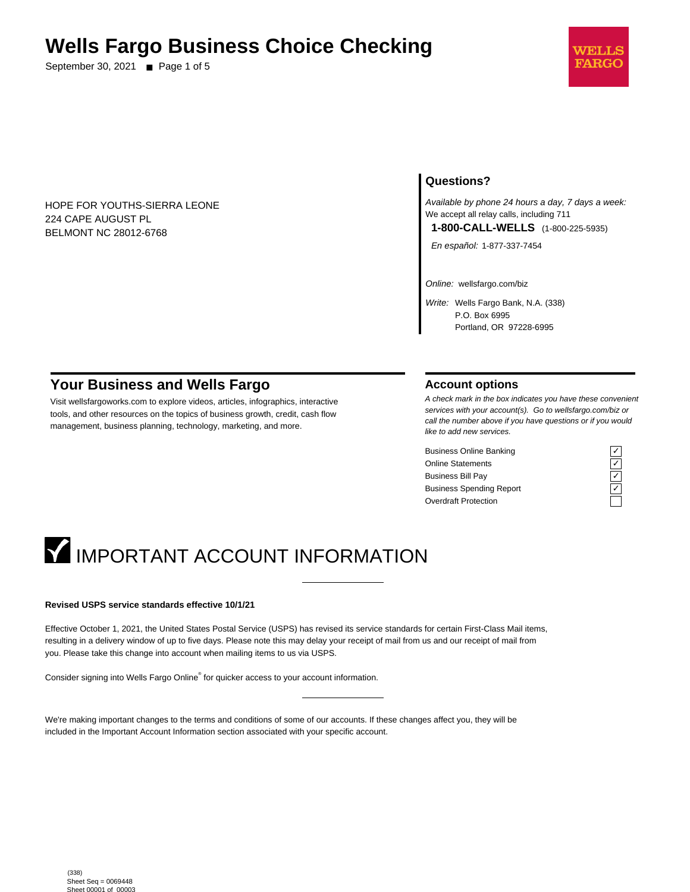## **Wells Fargo Business Choice Checking**

September 30, 2021 ■ Page 1 of 5



HOPE FOR YOUTHS-SIERRA LEONE 224 CAPE AUGUST PL BELMONT NC 28012-6768

### **Questions?**

Available by phone 24 hours a day, 7 days a week: We accept all relay calls, including 711 **1-800-CALL-WELLS** (1-800-225-5935)

En español: 1-877-337-7454

Online: wellsfargo.com/biz

Write: Wells Fargo Bank, N.A. (338) P.O. Box 6995 Portland, OR 97228-6995

### **Your Business and Wells Fargo**

Visit wellsfargoworks.com to explore videos, articles, infographics, interactive tools, and other resources on the topics of business growth, credit, cash flow management, business planning, technology, marketing, and more.

#### **Account options**

A check mark in the box indicates you have these convenient services with your account(s). Go to wellsfargo.com/biz or call the number above if you have questions or if you would like to add new services.

Business Online Banking Online Statements Business Bill Pay Business Spending Report Overdraft Protection

| -- |  |
|----|--|
|    |  |
|    |  |
|    |  |

## **IMPORTANT ACCOUNT INFORMATION**

#### **Revised USPS service standards effective 10/1/21**

Effective October 1, 2021, the United States Postal Service (USPS) has revised its service standards for certain First-Class Mail items, resulting in a delivery window of up to five days. Please note this may delay your receipt of mail from us and our receipt of mail from you. Please take this change into account when mailing items to us via USPS.

Consider signing into Wells Fargo Online® for quicker access to your account information.

We're making important changes to the terms and conditions of some of our accounts. If these changes affect you, they will be included in the Important Account Information section associated with your specific account.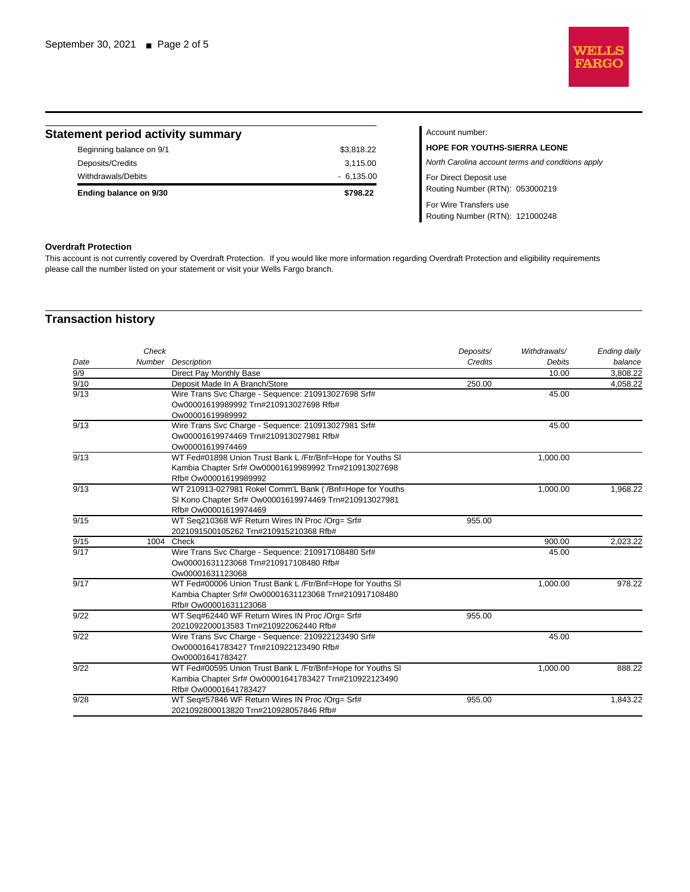

| <b>Statement period activity summary</b> |             | Account number:                                   |
|------------------------------------------|-------------|---------------------------------------------------|
| Beginning balance on 9/1                 | \$3,818.22  | <b>HOPE FOR YOUTHS-SIERRA LEONE</b>               |
| Deposits/Credits                         | 3,115.00    | North Carolina account terms and conditions apply |
| Withdrawals/Debits                       | $-6.135.00$ | For Direct Deposit use                            |
| Ending balance on 9/30                   | \$798.22    | Routing Number (RTN): 053000219                   |
|                                          |             | For Wire Transfers use                            |
|                                          |             | Routing Number (RTN): 121000248                   |

#### **Overdraft Protection**

This account is not currently covered by Overdraft Protection. If you would like more information regarding Overdraft Protection and eligibility requirements please call the number listed on your statement or visit your Wells Fargo branch.

## **Transaction history**

|                  | Check |                                                             | Deposits/ | Withdrawals/ | Ending daily |
|------------------|-------|-------------------------------------------------------------|-----------|--------------|--------------|
| Date             |       | Number Description                                          | Credits   | Debits       | balance      |
| 9/9              |       | Direct Pay Monthly Base                                     |           | 10.00        | 3,808.22     |
| 9/10             |       | Deposit Made In A Branch/Store                              | 250.00    |              | 4,058.22     |
| 9/13             |       | Wire Trans Svc Charge - Sequence: 210913027698 Srf#         |           | 45.00        |              |
|                  |       | Ow00001619989992 Trn#210913027698 Rfb#                      |           |              |              |
|                  |       | Ow00001619989992                                            |           |              |              |
| 9/13             |       | Wire Trans Svc Charge - Sequence: 210913027981 Srf#         |           | 45.00        |              |
|                  |       | Ow00001619974469 Trn#210913027981 Rfb#                      |           |              |              |
|                  |       | Ow00001619974469                                            |           |              |              |
| 9/13             |       | WT Fed#01898 Union Trust Bank L /Ftr/Bnf=Hope for Youths SI |           | 1,000.00     |              |
|                  |       | Kambia Chapter Srf# Ow00001619989992 Trn#210913027698       |           |              |              |
|                  |       | Rfb# Ow00001619989992                                       |           |              |              |
| 9/13             |       | WT 210913-027981 Rokel Comm'L Bank ( / Bnf=Hope for Youths  |           | 1,000.00     | 1,968.22     |
|                  |       | SI Kono Chapter Srf# Ow00001619974469 Trn#210913027981      |           |              |              |
|                  |       | Rfb# Ow00001619974469                                       |           |              |              |
| 9/15             |       | WT Seq210368 WF Return Wires IN Proc /Org= Srf#             | 955.00    |              |              |
|                  |       | 2021091500105262 Trn#210915210368 Rfb#                      |           |              |              |
| 9/15             |       | 1004 Check                                                  |           | 900.00       | 2,023.22     |
| $\frac{1}{9/17}$ |       | Wire Trans Svc Charge - Sequence: 210917108480 Srf#         |           | 45.00        |              |
|                  |       | Ow00001631123068 Trn#210917108480 Rfb#                      |           |              |              |
|                  |       | Ow00001631123068                                            |           |              |              |
| 9/17             |       | WT Fed#00006 Union Trust Bank L /Ftr/Bnf=Hope for Youths SI |           | 1,000.00     | 978.22       |
|                  |       | Kambia Chapter Srf# Ow00001631123068 Trn#210917108480       |           |              |              |
|                  |       | Rfb# Ow00001631123068                                       |           |              |              |
| 9/22             |       | WT Seq#62440 WF Return Wires IN Proc /Org= Srf#             | 955.00    |              |              |
|                  |       | 2021092200013583 Trn#210922062440 Rfb#                      |           |              |              |
| 9/22             |       | Wire Trans Svc Charge - Sequence: 210922123490 Srf#         |           | 45.00        |              |
|                  |       | Ow00001641783427 Trn#210922123490 Rfb#                      |           |              |              |
|                  |       | Ow00001641783427                                            |           |              |              |
| 9/22             |       | WT Fed#00595 Union Trust Bank L /Ftr/Bnf=Hope for Youths SI |           | 1,000.00     | 888.22       |
|                  |       | Kambia Chapter Srf# Ow00001641783427 Trn#210922123490       |           |              |              |
|                  |       | Rfb# Ow00001641783427                                       |           |              |              |
| 9/28             |       | WT Seq#57846 WF Return Wires IN Proc /Org= Srf#             | 955.00    |              | 1,843.22     |
|                  |       | 2021092800013820 Trn#210928057846 Rfb#                      |           |              |              |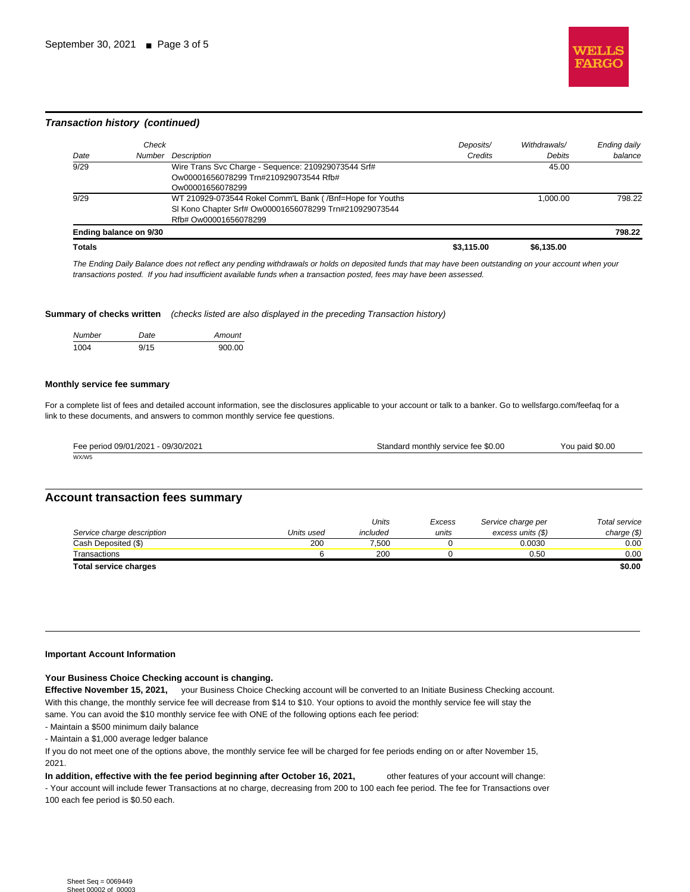

#### **Transaction history (continued)**

|               | Check                  |                                                          | Deposits/  | Withdrawals/ | Ending daily |
|---------------|------------------------|----------------------------------------------------------|------------|--------------|--------------|
| Date          | Number                 | Description                                              | Credits    | Debits       | balance      |
| 9/29          |                        | Wire Trans Svc Charge - Sequence: 210929073544 Srf#      |            | 45.00        |              |
|               |                        | Ow00001656078299 Trn#210929073544 Rfb#                   |            |              |              |
|               |                        | Ow00001656078299                                         |            |              |              |
| 9/29          |                        | WT 210929-073544 Rokel Comm'L Bank (/Bnf=Hope for Youths |            | 1.000.00     | 798.22       |
|               |                        | SI Kono Chapter Srf# Ow00001656078299 Trn#210929073544   |            |              |              |
|               |                        | Rfb# Ow00001656078299                                    |            |              |              |
|               | Ending balance on 9/30 |                                                          |            |              | 798.22       |
| <b>Totals</b> |                        |                                                          | \$3.115.00 | \$6.135.00   |              |

The Ending Daily Balance does not reflect any pending withdrawals or holds on deposited funds that may have been outstanding on your account when your transactions posted. If you had insufficient available funds when a transaction posted, fees may have been assessed.

**Summary of checks written** (checks listed are also displayed in the preceding Transaction history)

| <b>Number</b> | Date | Amount |
|---------------|------|--------|
| 1004          | 9/15 | 900.00 |

#### **Monthly service fee summary**

For a complete list of fees and detailed account information, see the disclosures applicable to your account or talk to a banker. Go to wellsfargo.com/feefaq for a link to these documents, and answers to common monthly service fee questions.

| Fee period 09/01/2021 - 09/30/2021<br>____<br>____ | Standard monthly service fee \$0.00 | \$0.00<br>You paid. |
|----------------------------------------------------|-------------------------------------|---------------------|
| WX/W5                                              |                                     |                     |

#### **Account transaction fees summary**

|                            |            | Units    | Excess | Service charge per | Total service |
|----------------------------|------------|----------|--------|--------------------|---------------|
| Service charge description | Units used | included | units  | excess units (\$)  | charge $(\$)$ |
| Cash Deposited (\$)        | 200        | 7.500    |        | 0.0030             | 0.00          |
| Transactions               |            | 200      |        | 0.50               | 0.00          |
| Total service charges      |            |          |        |                    | sa na         |

**Total service charges \$0.00**

#### **Important Account Information**

#### **Your Business Choice Checking account is changing.**

**Effective November 15, 2021,** your Business Choice Checking account will be converted to an Initiate Business Checking account. With this change, the monthly service fee will decrease from \$14 to \$10. Your options to avoid the monthly service fee will stay the same. You can avoid the \$10 monthly service fee with ONE of the following options each fee period:

- Maintain a \$500 minimum daily balance

- Maintain a \$1,000 average ledger balance

If you do not meet one of the options above, the monthly service fee will be charged for fee periods ending on or after November 15, 2021.

**In addition, effective with the fee period beginning after October 16, 2021,** other features of your account will change: - Your account will include fewer Transactions at no charge, decreasing from 200 to 100 each fee period. The fee for Transactions over 100 each fee period is \$0.50 each.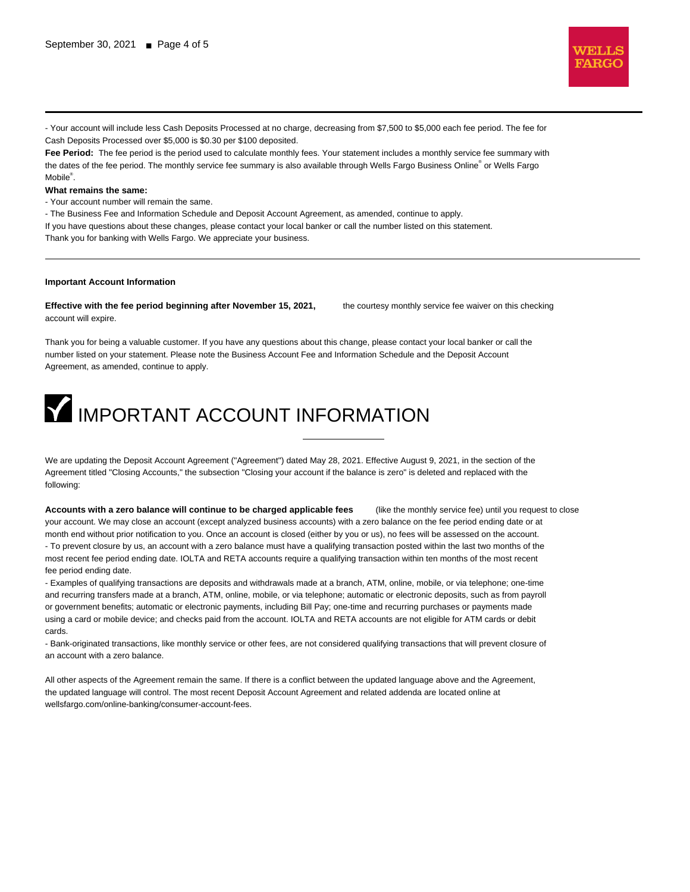

- Your account will include less Cash Deposits Processed at no charge, decreasing from \$7,500 to \$5,000 each fee period. The fee for Cash Deposits Processed over \$5,000 is \$0.30 per \$100 deposited.

**Fee Period:** The fee period is the period used to calculate monthly fees. Your statement includes a monthly service fee summary with the dates of the fee period. The monthly service fee summary is also available through Wells Fargo Business Online® or Wells Fargo Mobile<sup>®</sup>.

**What remains the same:**

- Your account number will remain the same.

- The Business Fee and Information Schedule and Deposit Account Agreement, as amended, continue to apply.

If you have questions about these changes, please contact your local banker or call the number listed on this statement. Thank you for banking with Wells Fargo. We appreciate your business.

#### **Important Account Information**

**Effective with the fee period beginning after November 15, 2021,** the courtesy monthly service fee waiver on this checking account will expire.

Thank you for being a valuable customer. If you have any questions about this change, please contact your local banker or call the number listed on your statement. Please note the Business Account Fee and Information Schedule and the Deposit Account Agreement, as amended, continue to apply.

# **IMPORTANT ACCOUNT INFORMATION**

We are updating the Deposit Account Agreement ("Agreement") dated May 28, 2021. Effective August 9, 2021, in the section of the Agreement titled "Closing Accounts," the subsection "Closing your account if the balance is zero" is deleted and replaced with the following:

**Accounts with a zero balance will continue to be charged applicable fees** (like the monthly service fee) until you request to close your account. We may close an account (except analyzed business accounts) with a zero balance on the fee period ending date or at month end without prior notification to you. Once an account is closed (either by you or us), no fees will be assessed on the account. - To prevent closure by us, an account with a zero balance must have a qualifying transaction posted within the last two months of the most recent fee period ending date. IOLTA and RETA accounts require a qualifying transaction within ten months of the most recent fee period ending date.

- Examples of qualifying transactions are deposits and withdrawals made at a branch, ATM, online, mobile, or via telephone; one-time and recurring transfers made at a branch, ATM, online, mobile, or via telephone; automatic or electronic deposits, such as from payroll or government benefits; automatic or electronic payments, including Bill Pay; one-time and recurring purchases or payments made using a card or mobile device; and checks paid from the account. IOLTA and RETA accounts are not eligible for ATM cards or debit cards.

- Bank-originated transactions, like monthly service or other fees, are not considered qualifying transactions that will prevent closure of an account with a zero balance.

All other aspects of the Agreement remain the same. If there is a conflict between the updated language above and the Agreement, the updated language will control. The most recent Deposit Account Agreement and related addenda are located online at wellsfargo.com/online-banking/consumer-account-fees.